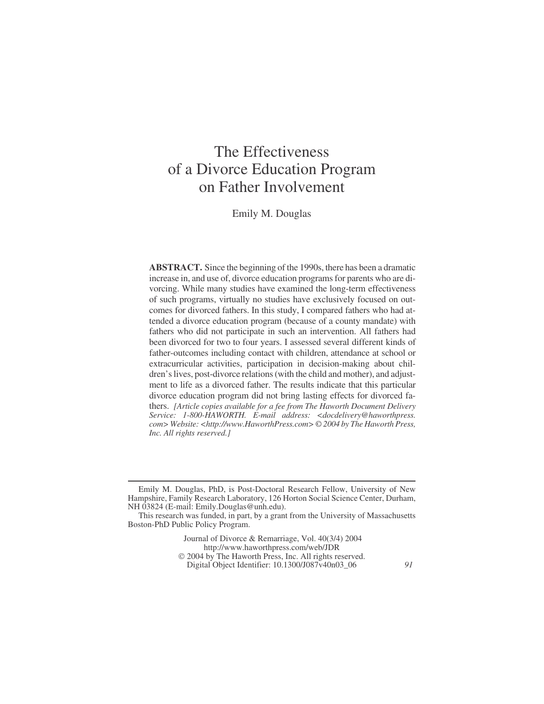# The Effectiveness of a Divorce Education Program on Father Involvement

Emily M. Douglas

**ABSTRACT.** Since the beginning of the 1990s, there has been a dramatic increase in, and use of, divorce education programs for parents who are divorcing. While many studies have examined the long-term effectiveness of such programs, virtually no studies have exclusively focused on outcomes for divorced fathers. In this study, I compared fathers who had attended a divorce education program (because of a county mandate) with fathers who did not participate in such an intervention. All fathers had been divorced for two to four years. I assessed several different kinds of father-outcomes including contact with children, attendance at school or extracurricular activities, participation in decision-making about children's lives, post-divorce relations (with the child and mother), and adjustment to life as a divorced father. The results indicate that this particular divorce education program did not bring lasting effects for divorced fathers. *[Article copies available for a fee from The Haworth Document Delivery Service: 1-800-HAWORTH. E-mail address: <docdelivery@haworthpress. com> Website: [<http://www.HaworthPress.com> © 2004](http://www.HaworthPress.com>�2004) by The Haworth Press, Inc. All rights reserved.]*

Journal of Divorce & Remarriage, Vol. 40(3/4) 2004 <http://www.haworthpress.com/web/JDR> 2004 by The Haworth Press, Inc. All rights reserved. Digital Object Identifier: 10.1300/J087v40n03\_06 *91*

Emily M. Douglas, PhD, is Post-Doctoral Research Fellow, University of New Hampshire, Family Research Laboratory, 126 Horton Social Science Center, Durham, NH 03824 (E-mail: Emily.Douglas@unh.edu).

This research was funded, in part, by a grant from the University of Massachusetts Boston-PhD Public Policy Program.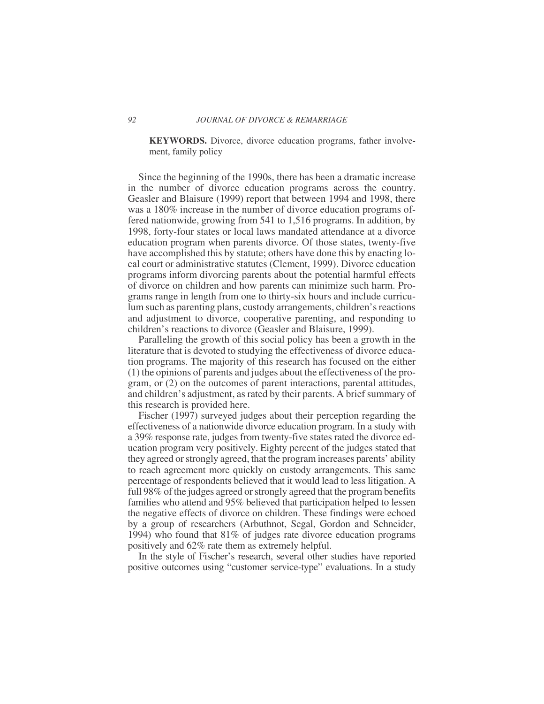**KEYWORDS.** Divorce, divorce education programs, father involvement, family policy

Since the beginning of the 1990s, there has been a dramatic increase in the number of divorce education programs across the country. Geasler and Blaisure (1999) report that between 1994 and 1998, there was a 180% increase in the number of divorce education programs offered nationwide, growing from 541 to 1,516 programs. In addition, by 1998, forty-four states or local laws mandated attendance at a divorce education program when parents divorce. Of those states, twenty-five have accomplished this by statute; others have done this by enacting local court or administrative statutes (Clement, 1999). Divorce education programs inform divorcing parents about the potential harmful effects of divorce on children and how parents can minimize such harm. Programs range in length from one to thirty-six hours and include curriculum such as parenting plans, custody arrangements, children's reactions and adjustment to divorce, cooperative parenting, and responding to children's reactions to divorce (Geasler and Blaisure, 1999).

Paralleling the growth of this social policy has been a growth in the literature that is devoted to studying the effectiveness of divorce education programs. The majority of this research has focused on the either (1) the opinions of parents and judges about the effectiveness of the program, or (2) on the outcomes of parent interactions, parental attitudes, and children's adjustment, as rated by their parents. A brief summary of this research is provided here.

Fischer (1997) surveyed judges about their perception regarding the effectiveness of a nationwide divorce education program. In a study with a 39% response rate, judges from twenty-five states rated the divorce education program very positively. Eighty percent of the judges stated that they agreed or strongly agreed, that the program increases parents' ability to reach agreement more quickly on custody arrangements. This same percentage of respondents believed that it would lead to less litigation. A full 98% of the judges agreed or strongly agreed that the program benefits families who attend and 95% believed that participation helped to lessen the negative effects of divorce on children. These findings were echoed by a group of researchers (Arbuthnot, Segal, Gordon and Schneider, 1994) who found that 81% of judges rate divorce education programs positively and 62% rate them as extremely helpful.

In the style of Fischer's research, several other studies have reported positive outcomes using "customer service-type" evaluations. In a study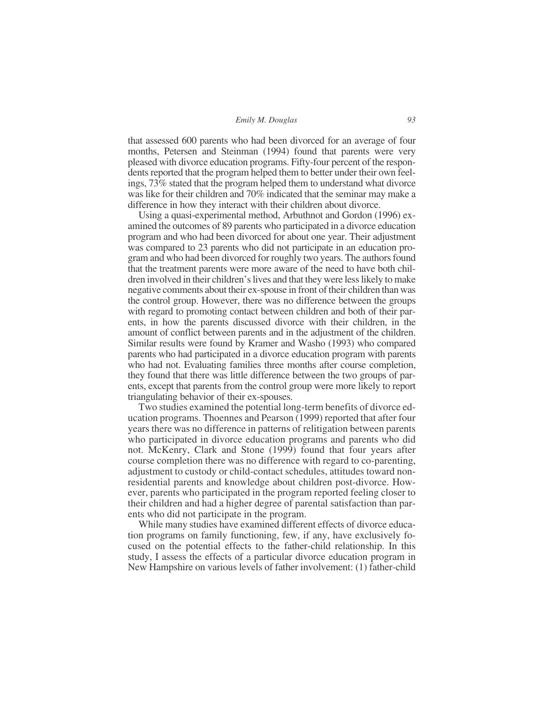*Emily M. Douglas 93*

that assessed 600 parents who had been divorced for an average of four months, Petersen and Steinman (1994) found that parents were very pleased with divorce education programs. Fifty-four percent of the respondents reported that the program helped them to better under their own feelings, 73% stated that the program helped them to understand what divorce was like for their children and 70% indicated that the seminar may make a difference in how they interact with their children about divorce.

Using a quasi-experimental method, Arbuthnot and Gordon (1996) examined the outcomes of 89 parents who participated in a divorce education program and who had been divorced for about one year. Their adjustment was compared to 23 parents who did not participate in an education program and who had been divorced for roughly two years. The authors found that the treatment parents were more aware of the need to have both children involved in their children's lives and that they were less likely to make negative comments about their ex-spouse in front of their children than was the control group. However, there was no difference between the groups with regard to promoting contact between children and both of their parents, in how the parents discussed divorce with their children, in the amount of conflict between parents and in the adjustment of the children. Similar results were found by Kramer and Washo (1993) who compared parents who had participated in a divorce education program with parents who had not. Evaluating families three months after course completion, they found that there was little difference between the two groups of parents, except that parents from the control group were more likely to report triangulating behavior of their ex-spouses.

Two studies examined the potential long-term benefits of divorce education programs. Thoennes and Pearson (1999) reported that after four years there was no difference in patterns of relitigation between parents who participated in divorce education programs and parents who did not. McKenry, Clark and Stone (1999) found that four years after course completion there was no difference with regard to co-parenting, adjustment to custody or child-contact schedules, attitudes toward nonresidential parents and knowledge about children post-divorce. However, parents who participated in the program reported feeling closer to their children and had a higher degree of parental satisfaction than parents who did not participate in the program.

While many studies have examined different effects of divorce education programs on family functioning, few, if any, have exclusively focused on the potential effects to the father-child relationship. In this study, I assess the effects of a particular divorce education program in New Hampshire on various levels of father involvement: (1) father-child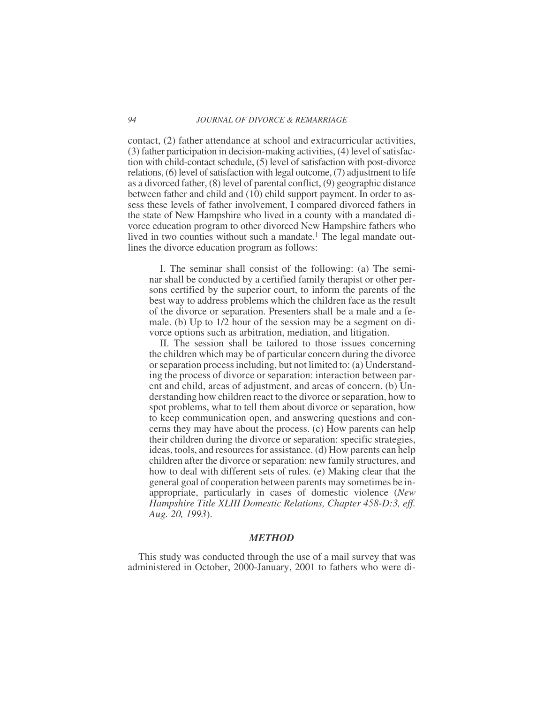contact, (2) father attendance at school and extracurricular activities, (3) father participation in decision-making activities, (4) level of satisfaction with child-contact schedule, (5) level of satisfaction with post-divorce relations, (6) level of satisfaction with legal outcome, (7) adjustment to life as a divorced father, (8) level of parental conflict, (9) geographic distance between father and child and (10) child support payment. In order to assess these levels of father involvement, I compared divorced fathers in the state of New Hampshire who lived in a county with a mandated divorce education program to other divorced New Hampshire fathers who lived in two counties without such a mandate.<sup>1</sup> The legal mandate outlines the divorce education program as follows:

I. The seminar shall consist of the following: (a) The seminar shall be conducted by a certified family therapist or other persons certified by the superior court, to inform the parents of the best way to address problems which the children face as the result of the divorce or separation. Presenters shall be a male and a female. (b) Up to 1/2 hour of the session may be a segment on divorce options such as arbitration, mediation, and litigation.

II. The session shall be tailored to those issues concerning the children which may be of particular concern during the divorce or separation process including, but not limited to: (a) Understanding the process of divorce or separation: interaction between parent and child, areas of adjustment, and areas of concern. (b) Understanding how children react to the divorce or separation, how to spot problems, what to tell them about divorce or separation, how to keep communication open, and answering questions and concerns they may have about the process. (c) How parents can help their children during the divorce or separation: specific strategies, ideas, tools, and resources for assistance. (d) How parents can help children after the divorce or separation: new family structures, and how to deal with different sets of rules. (e) Making clear that the general goal of cooperation between parents may sometimes be inappropriate, particularly in cases of domestic violence (*New Hampshire Title XLIII Domestic Relations, Chapter 458-D:3, eff. Aug. 20, 1993*).

#### *METHOD*

This study was conducted through the use of a mail survey that was administered in October, 2000-January, 2001 to fathers who were di-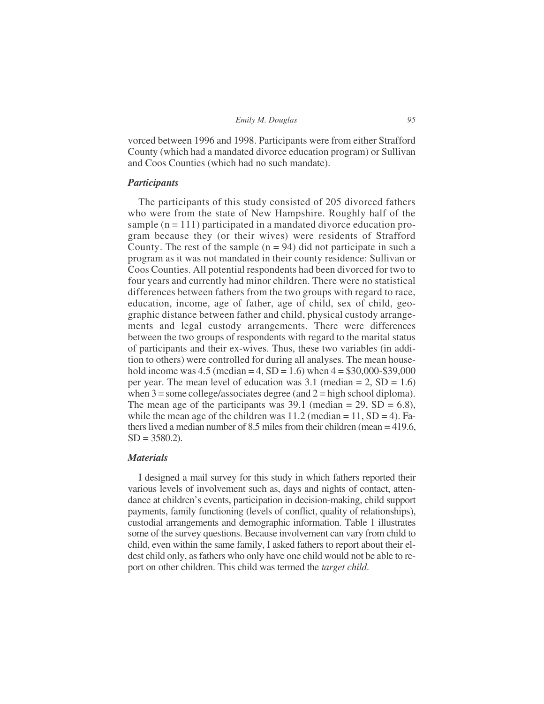| Emily M. Douglas | 95 |
|------------------|----|
|                  |    |

vorced between 1996 and 1998. Participants were from either Strafford County (which had a mandated divorce education program) or Sullivan and Coos Counties (which had no such mandate).

#### *Participants*

The participants of this study consisted of 205 divorced fathers who were from the state of New Hampshire. Roughly half of the sample  $(n = 111)$  participated in a mandated divorce education program because they (or their wives) were residents of Strafford County. The rest of the sample  $(n = 94)$  did not participate in such a program as it was not mandated in their county residence: Sullivan or Coos Counties. All potential respondents had been divorced for two to four years and currently had minor children. There were no statistical differences between fathers from the two groups with regard to race, education, income, age of father, age of child, sex of child, geographic distance between father and child, physical custody arrangements and legal custody arrangements. There were differences between the two groups of respondents with regard to the marital status of participants and their ex-wives. Thus, these two variables (in addition to others) were controlled for during all analyses. The mean household income was  $4.5$  (median =  $4$ , SD = 1.6) when  $4 = $30,000 - $39,000$ per year. The mean level of education was  $3.1$  (median =  $2$ , SD =  $1.6$ ) when  $3 =$  some college/associates degree (and  $2 =$  high school diploma). The mean age of the participants was  $39.1$  (median = 29, SD = 6.8), while the mean age of the children was  $11.2$  (median =  $11$ , SD = 4). Fathers lived a median number of 8.5 miles from their children (mean = 419.6,  $SD = 3580.2$ .

### *Materials*

I designed a mail survey for this study in which fathers reported their various levels of involvement such as, days and nights of contact, attendance at children's events, participation in decision-making, child support payments, family functioning (levels of conflict, quality of relationships), custodial arrangements and demographic information. Table 1 illustrates some of the survey questions. Because involvement can vary from child to child, even within the same family, I asked fathers to report about their eldest child only, as fathers who only have one child would not be able to report on other children. This child was termed the *target child*.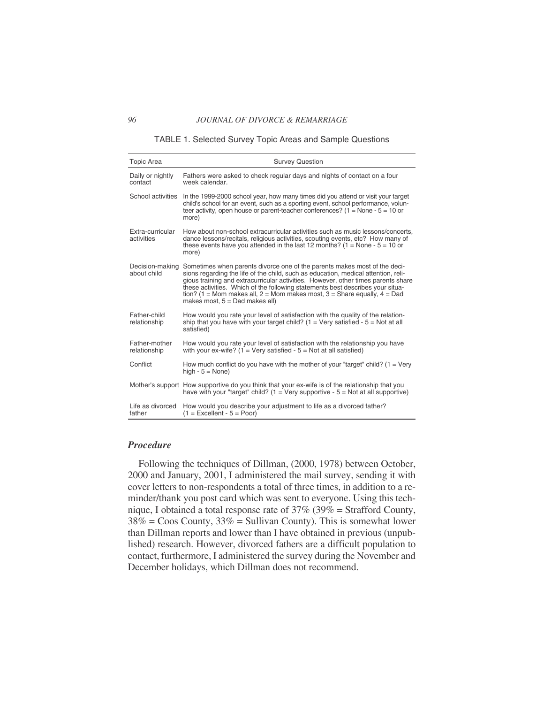#### *96 JOURNAL OF DIVORCE & REMARRIAGE*

TABLE 1. Selected Survey Topic Areas and Sample Questions

| Topic Area                     | <b>Survey Question</b>                                                                                                                                                                                                                                                                                                                                                                                                                                   |  |  |
|--------------------------------|----------------------------------------------------------------------------------------------------------------------------------------------------------------------------------------------------------------------------------------------------------------------------------------------------------------------------------------------------------------------------------------------------------------------------------------------------------|--|--|
| Daily or nightly<br>contact    | Fathers were asked to check regular days and nights of contact on a four<br>week calendar.                                                                                                                                                                                                                                                                                                                                                               |  |  |
| School activities              | In the 1999-2000 school year, how many times did you attend or visit your target<br>child's school for an event, such as a sporting event, school performance, volun-<br>teer activity, open house or parent-teacher conferences? $(1 = None - 5 = 10$ or<br>more)                                                                                                                                                                                       |  |  |
| Extra-curricular<br>activities | How about non-school extracurricular activities such as music lessons/concerts,<br>dance lessons/recitals, religious activities, scouting events, etc? How many of<br>these events have you attended in the last 12 months? $(1 = None - 5 = 10$ or<br>more)                                                                                                                                                                                             |  |  |
| Decision-making<br>about child | Sometimes when parents divorce one of the parents makes most of the deci-<br>sions regarding the life of the child, such as education, medical attention, reli-<br>gious training and extracurricular activities. However, other times parents share<br>these activities. Which of the following statements best describes your situa-<br>tion? (1 = Mom makes all, 2 = Mom makes most, 3 = Share equally, $4 =$ Dad<br>makes most, $5 =$ Dad makes all) |  |  |
| Father-child<br>relationship   | How would you rate your level of satisfaction with the quality of the relation-<br>ship that you have with your target child? $(1 = \text{Very satisfied} - 5 = \text{Not at all})$<br>satisfied)                                                                                                                                                                                                                                                        |  |  |
| Father-mother<br>relationship  | How would you rate your level of satisfaction with the relationship you have<br>with your ex-wife? (1 = Very satisfied $-5$ = Not at all satisfied)                                                                                                                                                                                                                                                                                                      |  |  |
| Conflict                       | How much conflict do you have with the mother of your "target" child? $(1 = \text{Very})$<br>high $-5 =$ None)                                                                                                                                                                                                                                                                                                                                           |  |  |
|                                | Mother's support How supportive do you think that your ex-wife is of the relationship that you<br>have with your "target" child? (1 = Very supportive $-5$ = Not at all supportive)                                                                                                                                                                                                                                                                      |  |  |
| Life as divorced<br>father     | How would you describe your adjustment to life as a divorced father?<br>$(1 = Excellent - 5 = Poor)$                                                                                                                                                                                                                                                                                                                                                     |  |  |

## *Procedure*

Following the techniques of Dillman, (2000, 1978) between October, 2000 and January, 2001, I administered the mail survey, sending it with cover letters to non-respondents a total of three times, in addition to a reminder/thank you post card which was sent to everyone. Using this technique, I obtained a total response rate of 37% (39% = Strafford County,  $38\%$  = Coos County,  $33\%$  = Sullivan County). This is somewhat lower than Dillman reports and lower than I have obtained in previous (unpublished) research. However, divorced fathers are a difficult population to contact, furthermore, I administered the survey during the November and December holidays, which Dillman does not recommend.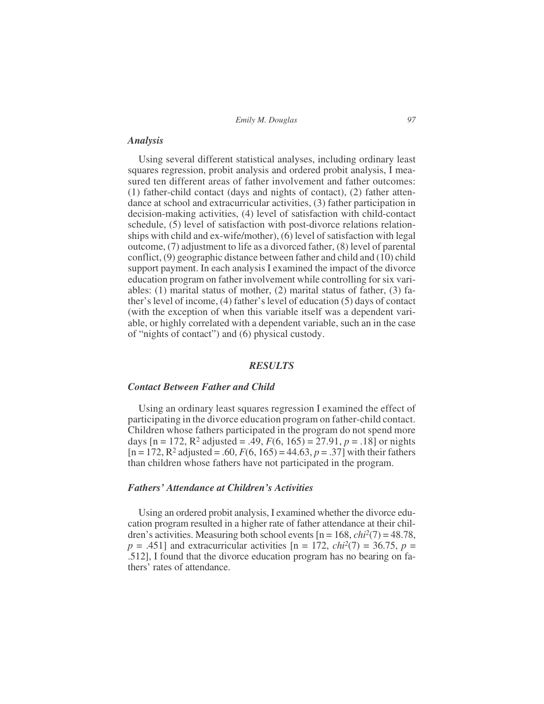*Emily M. Douglas 97*

### *Analysis*

Using several different statistical analyses, including ordinary least squares regression, probit analysis and ordered probit analysis, I measured ten different areas of father involvement and father outcomes: (1) father-child contact (days and nights of contact), (2) father attendance at school and extracurricular activities, (3) father participation in decision-making activities, (4) level of satisfaction with child-contact schedule, (5) level of satisfaction with post-divorce relations relationships with child and ex-wife/mother),  $(6)$  level of satisfaction with legal outcome, (7) adjustment to life as a divorced father, (8) level of parental conflict, (9) geographic distance between father and child and (10) child support payment. In each analysis I examined the impact of the divorce education program on father involvement while controlling for six variables: (1) marital status of mother, (2) marital status of father, (3) father's level of income, (4) father's level of education (5) days of contact (with the exception of when this variable itself was a dependent variable, or highly correlated with a dependent variable, such an in the case of "nights of contact") and (6) physical custody.

#### *RESULTS*

#### *Contact Between Father and Child*

Using an ordinary least squares regression I examined the effect of participating in the divorce education program on father-child contact. Children whose fathers participated in the program do not spend more days  $[n = 172, R^2 \text{ adjusted} = .49, F(6, 165) = 27.91, p = .18]$  or nights  $[n = 172, R^2 \text{ adjusted} = .60, F(6, 165) = 44.63, p = .37]$  with their fathers than children whose fathers have not participated in the program.

#### *Fathers' Attendance at Children's Activities*

Using an ordered probit analysis, I examined whether the divorce education program resulted in a higher rate of father attendance at their children's activities. Measuring both school events [n = 168, *chi2*(7) = 48.78,  $p = .451$ ] and extracurricular activities  $[n = 172, chi^2(7) = 36.75, p =$ .512], I found that the divorce education program has no bearing on fathers' rates of attendance.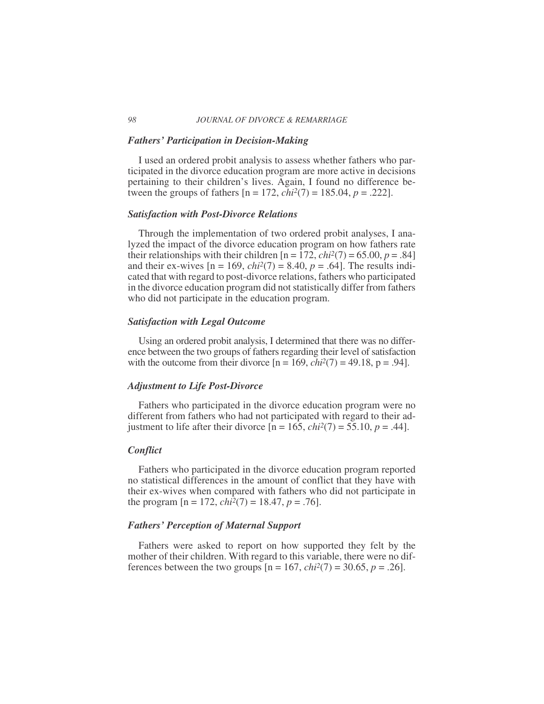### *Fathers' Participation in Decision-Making*

I used an ordered probit analysis to assess whether fathers who participated in the divorce education program are more active in decisions pertaining to their children's lives. Again, I found no difference between the groups of fathers  $[n = 172, chi^2(7) = 185.04, p = .222]$ .

#### *Satisfaction with Post-Divorce Relations*

Through the implementation of two ordered probit analyses, I analyzed the impact of the divorce education program on how fathers rate their relationships with their children  $[n = 172, chi^2(7) = 65.00, p = .84]$ and their ex-wives  $[n = 169, chi^2(7) = 8.40, p = .64]$ . The results indicated that with regard to post-divorce relations, fathers who participated in the divorce education program did not statistically differ from fathers who did not participate in the education program.

#### *Satisfaction with Legal Outcome*

Using an ordered probit analysis, I determined that there was no difference between the two groups of fathers regarding their level of satisfaction with the outcome from their divorce  $[n = 169, chi^2(7) = 49.18, p = .94]$ .

#### *Adjustment to Life Post-Divorce*

Fathers who participated in the divorce education program were no different from fathers who had not participated with regard to their adjustment to life after their divorce  $[n = 165, chi^2(7) = 55.10, p = .44]$ .

#### *Conflict*

Fathers who participated in the divorce education program reported no statistical differences in the amount of conflict that they have with their ex-wives when compared with fathers who did not participate in the program  $[n = 172, chi^2(7) = 18.47, p = .76]$ .

## *Fathers' Perception of Maternal Support*

Fathers were asked to report on how supported they felt by the mother of their children. With regard to this variable, there were no differences between the two groups  $[n = 167, chi^2(7) = 30.65, p = .26]$ .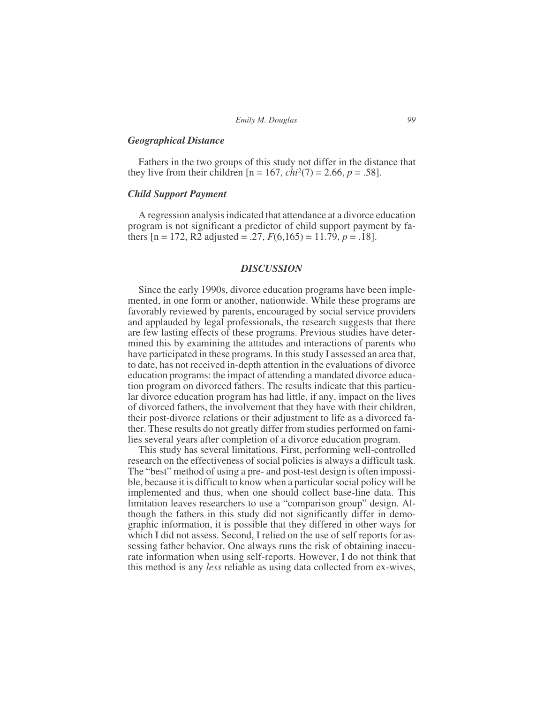#### *Geographical Distance*

Fathers in the two groups of this study not differ in the distance that they live from their children  $[n = 167, chi^2(7) = 2.66, p = .58]$ .

#### *Child Support Payment*

A regression analysis indicated that attendance at a divorce education program is not significant a predictor of child support payment by fathers  $[n = 172, R2$  adjusted  $= .27, F(6,165) = 11.79, p = .18$ .

### *DISCUSSION*

Since the early 1990s, divorce education programs have been implemented, in one form or another, nationwide. While these programs are favorably reviewed by parents, encouraged by social service providers and applauded by legal professionals, the research suggests that there are few lasting effects of these programs. Previous studies have determined this by examining the attitudes and interactions of parents who have participated in these programs. In this study I assessed an area that, to date, has not received in-depth attention in the evaluations of divorce education programs: the impact of attending a mandated divorce education program on divorced fathers. The results indicate that this particular divorce education program has had little, if any, impact on the lives of divorced fathers, the involvement that they have with their children, their post-divorce relations or their adjustment to life as a divorced father. These results do not greatly differ from studies performed on families several years after completion of a divorce education program.

This study has several limitations. First, performing well-controlled research on the effectiveness of social policies is always a difficult task. The "best" method of using a pre- and post-test design is often impossible, because it is difficult to know when a particular social policy will be implemented and thus, when one should collect base-line data. This limitation leaves researchers to use a "comparison group" design. Although the fathers in this study did not significantly differ in demographic information, it is possible that they differed in other ways for which I did not assess. Second, I relied on the use of self reports for assessing father behavior. One always runs the risk of obtaining inaccurate information when using self-reports. However, I do not think that this method is any *less* reliable as using data collected from ex-wives,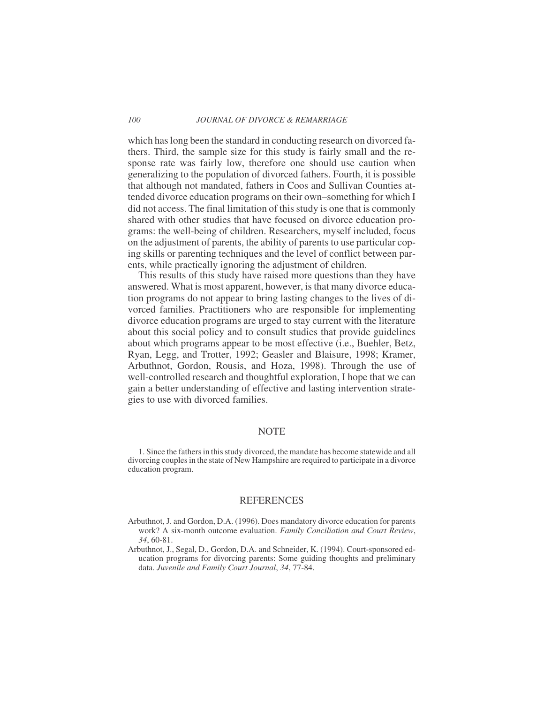#### *100 JOURNAL OF DIVORCE & REMARRIAGE*

which has long been the standard in conducting research on divorced fathers. Third, the sample size for this study is fairly small and the response rate was fairly low, therefore one should use caution when generalizing to the population of divorced fathers. Fourth, it is possible that although not mandated, fathers in Coos and Sullivan Counties attended divorce education programs on their own–something for which I did not access. The final limitation of this study is one that is commonly shared with other studies that have focused on divorce education programs: the well-being of children. Researchers, myself included, focus on the adjustment of parents, the ability of parents to use particular coping skills or parenting techniques and the level of conflict between parents, while practically ignoring the adjustment of children.

This results of this study have raised more questions than they have answered. What is most apparent, however, is that many divorce education programs do not appear to bring lasting changes to the lives of divorced families. Practitioners who are responsible for implementing divorce education programs are urged to stay current with the literature about this social policy and to consult studies that provide guidelines about which programs appear to be most effective (i.e., Buehler, Betz, Ryan, Legg, and Trotter, 1992; Geasler and Blaisure, 1998; Kramer, Arbuthnot, Gordon, Rousis, and Hoza, 1998). Through the use of well-controlled research and thoughtful exploration, I hope that we can gain a better understanding of effective and lasting intervention strategies to use with divorced families.

#### **NOTE**

1. Since the fathers in this study divorced, the mandate has become statewide and all divorcing couples in the state of New Hampshire are required to participate in a divorce education program.

#### REFERENCES

- Arbuthnot, J. and Gordon, D.A. (1996). Does mandatory divorce education for parents work? A six-month outcome evaluation. *Family Conciliation and Court Review*, *34*, 60-81.
- Arbuthnot, J., Segal, D., Gordon, D.A. and Schneider, K. (1994). Court-sponsored education programs for divorcing parents: Some guiding thoughts and preliminary data. *Juvenile and Family Court Journal*, *34*, 77-84.